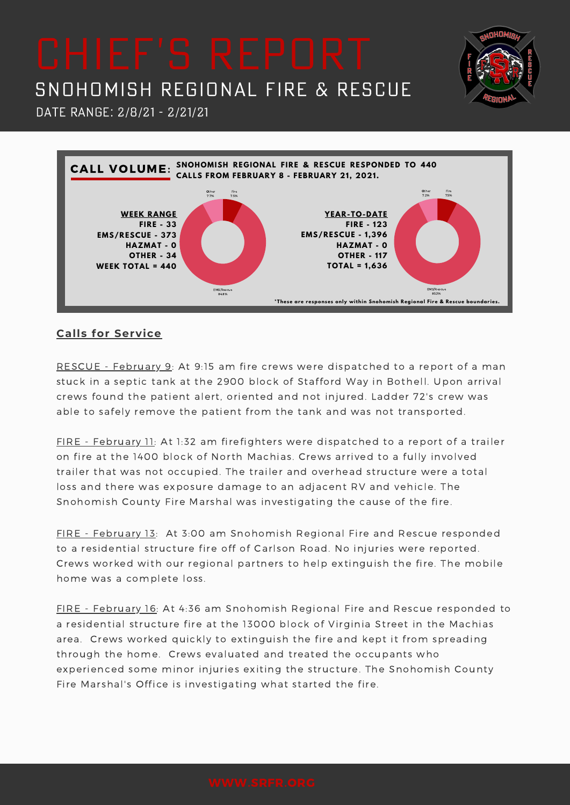Date Range: 2/8/21 - 2/21/21



**NHOA** 

## **Calls for Service**

RESCUE - February 9: At 9:15 am fire crews were dispatched to a report of a man stuck in a septic tank at the 2900 block of Stafford Way in Bothell. Upon arrival crews found the patient alert, oriented and not injured. Ladder 72's crew was able to safely remove the patient from the tank and was not transported.

FIRE - February 11: At 1:32 am firefighters were dispatched to a report of a trailer on fire at the 1400 block of North Machias. Crews arrived to a fully involved trailer that was not occupied. The trailer and overhead structure were a total loss and there was exposure damage to an adjacent RV and vehicle. The Snohomish County Fire Marshal was investigating the cause of the fire.

FIRE - February 13: At 3:00 am Snohomish Regional Fire and Rescue responded to a residential structure fire off of Carlson Road. No injuries were reported. Crews worked with our regional partners to help extinguish the fire. The mobile home was a complete loss.

FIRE - February 16: At 4:36 am Snohomish Regional Fire and Rescue responded to a residential structure fire at the 13000 block of Virginia Street in the Machias area. Crews worked quickly to extinguish the fire and kept it from spreading through the home. Crews evaluated and treated the occupants who experienced some minor injuries exiting the structure. The Snohomish County Fire Marshal's Office is investigating what started the fire.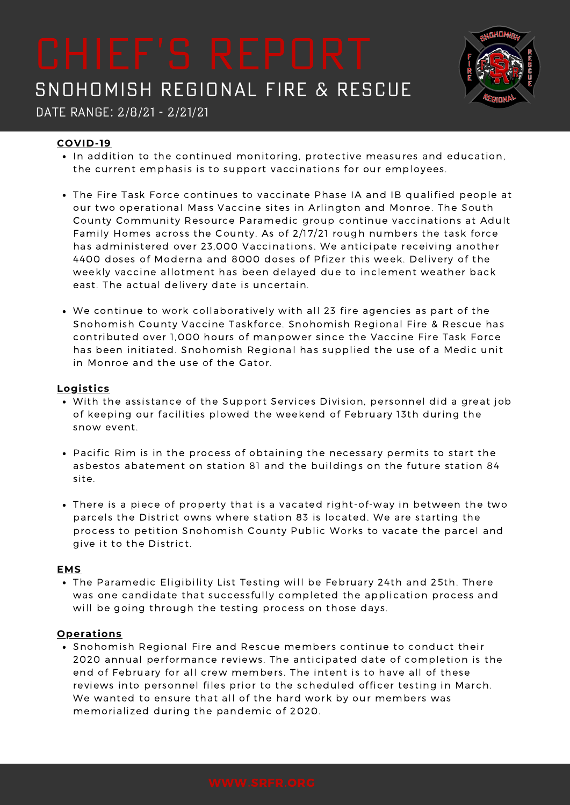

Date Range: 2/8/21 - 2/21/21

## **COVID-19**

- In addition to the continued monitoring, protective measures and education, the current emphasis is to support vaccinations for our employees.
- The Fire Task Force continues to vaccinate Phase IA and IB qualified people at our two operational Mass Vaccine sites in Arlington and Monroe. The South County Community Resource Paramedic group continue vaccinations at Adult Family Homes across the County. As of 2/17/21 rough numbers the task force has administered over 23,000 Vaccinations. We anticipate receiving another 4400 doses of Moderna and 8000 doses of Pfizer this week. Delivery of the weekly vaccine allotment has been delayed due to inclement weather back east. The actual delivery date is uncertain.
- We continue to work collaboratively with all 23 fire agencies as part of the Snohomish County Vaccine Taskforce. Snohomish Regional Fire & Rescue has contributed over 1,000 hours of manpower since the Vaccine Fire Task Force has been initiated. Snohomish Regional has supplied the use of a Medic unit in Monroe and the use of the Gator.

### **Logistics**

- With the assistance of the Support Services Division, personnel did a great job of keeping our facilities plowed the weekend of February 13th during the snow event.
- Pacific Rim is in the process of obtaining the necessary permits to start the asbestos abatement on station 81 and the buildings on the future station 84 site.
- There is a piece of property that is a vacated right-of-way in between the two parcels the District owns where station 83 is located. We are starting the process to petition Snohomish County Public Works to vacate the parcel and give it to the District.

### **EMS**

• The Paramedic Eligibility List Testing will be February 24th and 25th. There was one candidate that successfully completed the application process and will be going through the testing process on those days.

### **Operations**

• Snohomish Regional Fire and Rescue members continue to conduct their 2020 annual performance reviews. The anticipated date of completion is the end of February for all crew members. The intent is to have all of these reviews into personnel files prior to the scheduled officer testing in March. We wanted to ensure that all of the hard work by our members was memorialized during the pandemic of 2020.

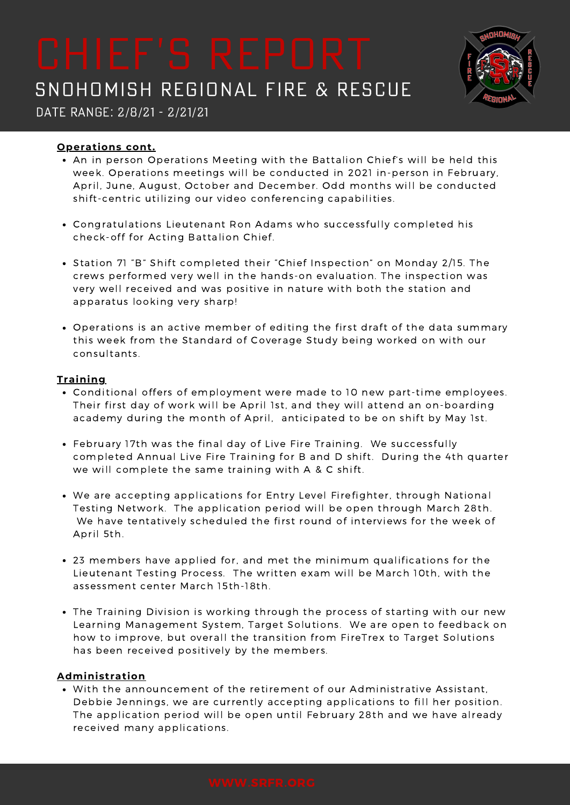

Date Range: 2/8/21 - 2/21/21

### **Operations cont.**

- An in person Operations Meeting with the Battalion Chief's will be held this week. Operations meetings will be conducted in 2021 in-person in February, April, June, August, October and December. Odd months will be conducted shift-centric utilizing our video conferencing capabilities.
- Congratulations Lieutenant Ron Adams who successfully completed his check-off for Acting Battalion Chief.
- Station 71 "B" Shift completed their "Chief Inspection" on Monday 2/15. The crews performed very well in the hands-on evaluation. The inspection was very well received and was positive in nature with both the station and apparatus looking very sharp!
- Operations is an active member of editing the first draft of the data summary this week from the Standard of Coverage Study being worked on with our consultants.

### **Training**

- Conditional offers of employment were made to 10 new part-time employees. Their first day of work will be April 1st, and they will attend an on-boarding academy during the month of April, anticipated to be on shift by May 1st.
- February 17th was the final day of Live Fire Training. We successfully completed Annual Live Fire Training for B and D shift. During the 4th quarter we will complete the same training with A & C shift.
- We are accepting applications for Entry Level Firefighter, through National Testing Network. The application period will be open through March 28th. We have tentatively scheduled the first round of interviews for the week of April 5th.
- 23 members have applied for, and met the minimum qualifications for the Lieutenant Testing Process. The written exam will be March 10th, with the assessment center March 15th-18th.
- The Training Division is working through the process of starting with our new Learning Management System, Target Solutions. We are open to feedback on how to improve, but overall the transition from FireTrex to Target Solutions has been received positively by the members.

### **Administration**

With the announcement of the retirement of our Administrative Assistant, Debbie Jennings, we are currently accepting applications to fill her position. The application period will be open until February 28th and we have already received many applications.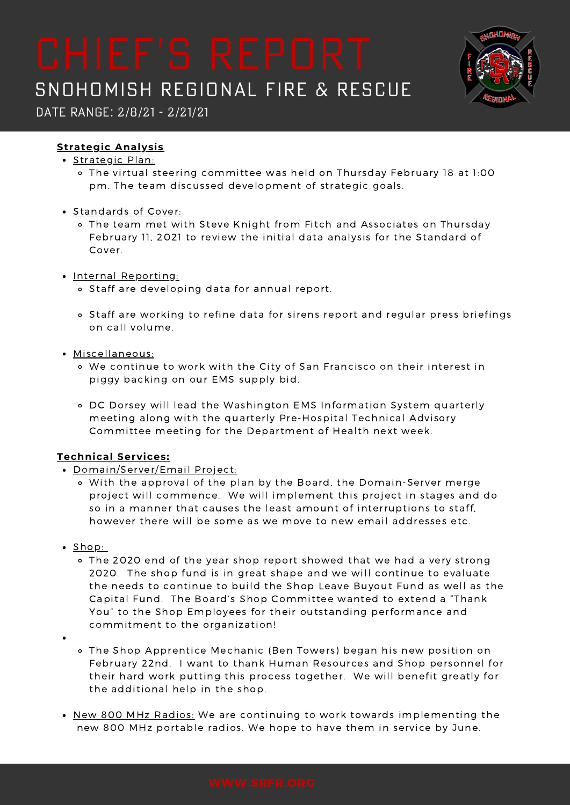

Date Range: 2/8/21 - 2/21/21

## **Strategic Analysis**

- Strategic Plan:
	- The virtual steering committee was held on Thursday February 18 at 1:00 pm. The team discussed development of strategic goals.
- Standards of Cover:
	- The team met with Steve Knight from Fitch and Associates on Thursday February 11, 2021 to review the initial data analysis for the Standard of Cover.
- Internal Reporting:
	- Staff are developing data for annual report.
	- o Staff are working to refine data for sirens report and regular press briefings on call volume.
- Miscellaneous:
	- We continue to work with the City of San Francisco on their interest in piggy backing on our EMS supply bid.
	- DC Dorsey will lead the Washington EMS Information System quarterly meeting along with the quarterly Pre-Hospital Technical Advisory Committee meeting for the Department of Health next week.

## **Technical Services:**

- Domain/Server/Email Project:
	- With the approval of the plan by the Board, the Domain-Server merge project will commence. We will implement this project in stages and do so in a manner that causes the least amount of interruptions to staff, however there will be some as we move to new email addresses etc.
- $\cdot$  Shop:
	- The 2020 end of the year shop report showed that we had a very strong 2020. The shop fund is in great shape and we will continue to evaluate the needs to continue to build the Shop Leave Buyout Fund as well as the Capital Fund. The Board's Shop Committee wanted to extend a "Thank You" to the Shop Employees for their outstanding performance and commitment to the organization!
- - The Shop Apprentice Mechanic (Ben Towers) began his new position on February 22nd. I want to thank Human Resources and Shop personnel for their hard work putting this process together. We will benefit greatly for the additional help in the shop.
- New 800 MHz Radios: We are continuing to work towards implementing the new 800 MHz portable radios. We hope to have them in service by June.